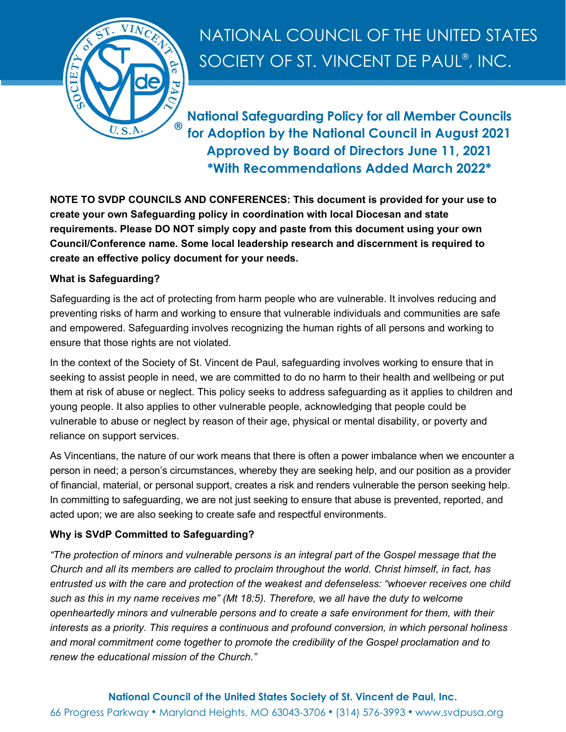

# NATIONAL COUNCIL OF THE UNITED STATES SOCIETY OF ST. VINCENT DE PAUL® , INC.

**National Safeguarding Policy for all Member Councils for Adoption by the National Council in August 2021 Approved by Board of Directors June 11, 2021 \*With Recommendations Added March 2022\***

**NOTE TO SVDP COUNCILS AND CONFERENCES: This document is provided for your use to create your own Safeguarding policy in coordination with local Diocesan and state requirements. Please DO NOT simply copy and paste from this document using your own Council/Conference name. Some local leadership research and discernment is required to create an effective policy document for your needs.**

# **What is Safeguarding?**

Safeguarding is the act of protecting from harm people who are vulnerable. It involves reducing and preventing risks of harm and working to ensure that vulnerable individuals and communities are safe and empowered. Safeguarding involves recognizing the human rights of all persons and working to ensure that those rights are not violated.

In the context of the Society of St. Vincent de Paul, safeguarding involves working to ensure that in seeking to assist people in need, we are committed to do no harm to their health and wellbeing or put them at risk of abuse or neglect. This policy seeks to address safeguarding as it applies to children and young people. It also applies to other vulnerable people, acknowledging that people could be vulnerable to abuse or neglect by reason of their age, physical or mental disability, or poverty and reliance on support services.

As Vincentians, the nature of our work means that there is often a power imbalance when we encounter a person in need; a person's circumstances, whereby they are seeking help, and our position as a provider of financial, material, or personal support, creates a risk and renders vulnerable the person seeking help. In committing to safeguarding, we are not just seeking to ensure that abuse is prevented, reported, and acted upon; we are also seeking to create safe and respectful environments.

# **Why is SVdP Committed to Safeguarding?**

*"The protection of minors and vulnerable persons is an integral part of the Gospel message that the Church and all its members are called to proclaim throughout the world. Christ himself, in fact, has entrusted us with the care and protection of the weakest and defenseless: "whoever receives one child such as this in my name receives me" (Mt 18:5). Therefore, we all have the duty to welcome openheartedly minors and vulnerable persons and to create a safe environment for them, with their interests as a priority. This requires a continuous and profound conversion, in which personal holiness and moral commitment come together to promote the credibility of the Gospel proclamation and to renew the educational mission of the Church."*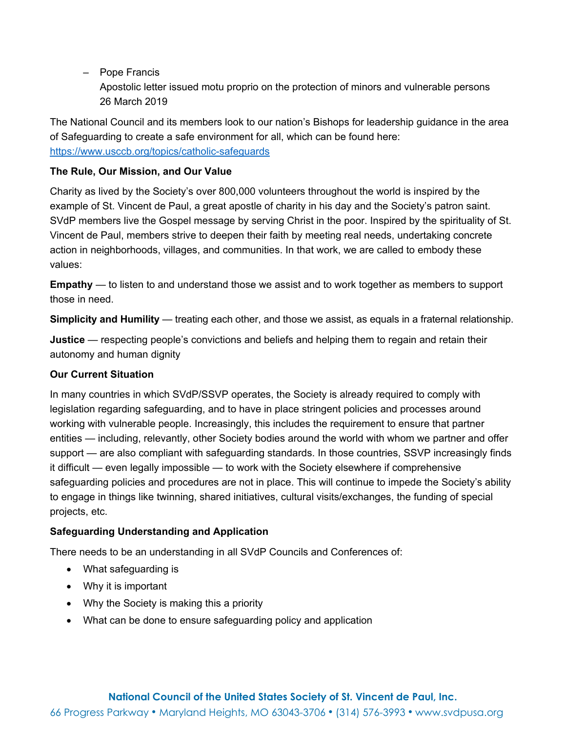– Pope Francis

Apostolic letter issued motu proprio on the protection of minors and vulnerable persons 26 March 2019

The National Council and its members look to our nation's Bishops for leadership guidance in the area of Safeguarding to create a safe environment for all, which can be found here: <https://www.usccb.org/topics/catholic-safeguards>

## **The Rule, Our Mission, and Our Value**

Charity as lived by the Society's over 800,000 volunteers throughout the world is inspired by the example of St. Vincent de Paul, a great apostle of charity in his day and the Society's patron saint. SVdP members live the Gospel message by serving Christ in the poor. Inspired by the spirituality of St. Vincent de Paul, members strive to deepen their faith by meeting real needs, undertaking concrete action in neighborhoods, villages, and communities. In that work, we are called to embody these values:

**Empathy** — to listen to and understand those we assist and to work together as members to support those in need.

**Simplicity and Humility** — treating each other, and those we assist, as equals in a fraternal relationship.

**Justice** — respecting people's convictions and beliefs and helping them to regain and retain their autonomy and human dignity

## **Our Current Situation**

In many countries in which SVdP/SSVP operates, the Society is already required to comply with legislation regarding safeguarding, and to have in place stringent policies and processes around working with vulnerable people. Increasingly, this includes the requirement to ensure that partner entities — including, relevantly, other Society bodies around the world with whom we partner and offer support — are also compliant with safeguarding standards. In those countries, SSVP increasingly finds it difficult — even legally impossible — to work with the Society elsewhere if comprehensive safeguarding policies and procedures are not in place. This will continue to impede the Society's ability to engage in things like twinning, shared initiatives, cultural visits/exchanges, the funding of special projects, etc.

## **Safeguarding Understanding and Application**

There needs to be an understanding in all SVdP Councils and Conferences of:

- What safeguarding is
- Why it is important
- Why the Society is making this a priority
- What can be done to ensure safeguarding policy and application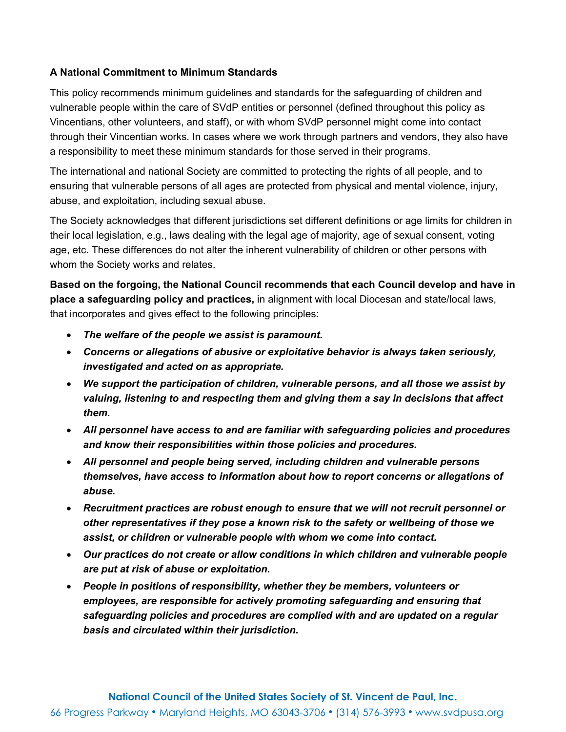## **A National Commitment to Minimum Standards**

This policy recommends minimum guidelines and standards for the safeguarding of children and vulnerable people within the care of SVdP entities or personnel (defined throughout this policy as Vincentians, other volunteers, and staff), or with whom SVdP personnel might come into contact through their Vincentian works. In cases where we work through partners and vendors, they also have a responsibility to meet these minimum standards for those served in their programs.

The international and national Society are committed to protecting the rights of all people, and to ensuring that vulnerable persons of all ages are protected from physical and mental violence, injury, abuse, and exploitation, including sexual abuse.

The Society acknowledges that different jurisdictions set different definitions or age limits for children in their local legislation, e.g., laws dealing with the legal age of majority, age of sexual consent, voting age, etc. These differences do not alter the inherent vulnerability of children or other persons with whom the Society works and relates.

**Based on the forgoing, the National Council recommends that each Council develop and have in place a safeguarding policy and practices,** in alignment with local Diocesan and state/local laws, that incorporates and gives effect to the following principles:

- *The welfare of the people we assist is paramount.*
- *Concerns or allegations of abusive or exploitative behavior is always taken seriously, investigated and acted on as appropriate.*
- *We support the participation of children, vulnerable persons, and all those we assist by valuing, listening to and respecting them and giving them a say in decisions that affect them.*
- *All personnel have access to and are familiar with safeguarding policies and procedures and know their responsibilities within those policies and procedures.*
- *All personnel and people being served, including children and vulnerable persons themselves, have access to information about how to report concerns or allegations of abuse.*
- *Recruitment practices are robust enough to ensure that we will not recruit personnel or other representatives if they pose a known risk to the safety or wellbeing of those we assist, or children or vulnerable people with whom we come into contact.*
- *Our practices do not create or allow conditions in which children and vulnerable people are put at risk of abuse or exploitation.*
- *People in positions of responsibility, whether they be members, volunteers or employees, are responsible for actively promoting safeguarding and ensuring that safeguarding policies and procedures are complied with and are updated on a regular basis and circulated within their jurisdiction.*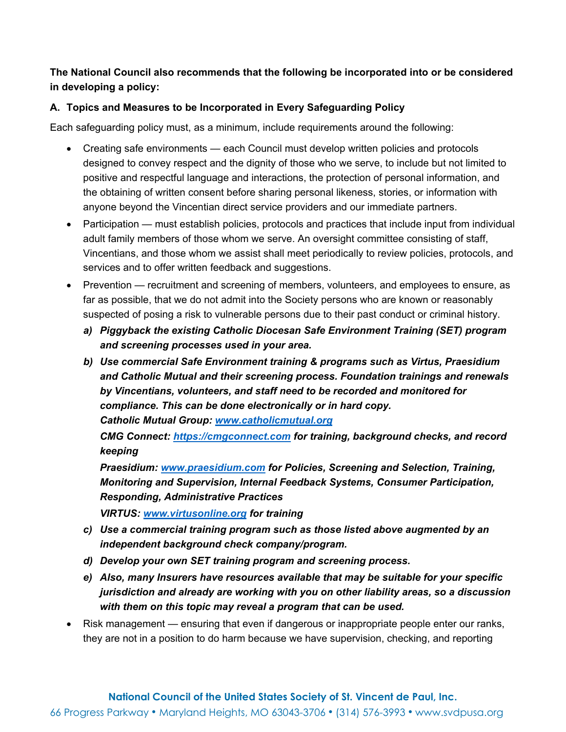# **The National Council also recommends that the following be incorporated into or be considered in developing a policy:**

# **A. Topics and Measures to be Incorporated in Every Safeguarding Policy**

Each safeguarding policy must, as a minimum, include requirements around the following:

- Creating safe environments each Council must develop written policies and protocols designed to convey respect and the dignity of those who we serve, to include but not limited to positive and respectful language and interactions, the protection of personal information, and the obtaining of written consent before sharing personal likeness, stories, or information with anyone beyond the Vincentian direct service providers and our immediate partners.
- Participation must establish policies, protocols and practices that include input from individual adult family members of those whom we serve. An oversight committee consisting of staff, Vincentians, and those whom we assist shall meet periodically to review policies, protocols, and services and to offer written feedback and suggestions.
- Prevention recruitment and screening of members, volunteers, and employees to ensure, as far as possible, that we do not admit into the Society persons who are known or reasonably suspected of posing a risk to vulnerable persons due to their past conduct or criminal history.
	- *a) Piggyback the existing Catholic Diocesan Safe Environment Training (SET) program and screening processes used in your area.*
	- *b) Use commercial Safe Environment training & programs such as Virtus, Praesidium and Catholic Mutual and their screening process. Foundation trainings and renewals by Vincentians, volunteers, and staff need to be recorded and monitored for compliance. This can be done electronically or in hard copy. Catholic Mutual Group: [www.catholicmutual.org](http://www.catholicmutual.org/)*

*CMG Connect: [https://cmgconnect.com](https://cmgconnect.com/) for training, background checks, and record keeping*

*Praesidium: [www.praesidium.com](http://www.praesidium.com/) for Policies, Screening and Selection, Training, Monitoring and Supervision, Internal Feedback Systems, Consumer Participation, Responding, Administrative Practices*

*VIRTUS: [www.virtusonline.org](http://www.virtusonline.org/) for training*

- *c) Use a commercial training program such as those listed above augmented by an independent background check company/program.*
- *d) Develop your own SET training program and screening process.*
- *e) Also, many Insurers have resources available that may be suitable for your specific jurisdiction and already are working with you on other liability areas, so a discussion with them on this topic may reveal a program that can be used.*
- Risk management ensuring that even if dangerous or inappropriate people enter our ranks, they are not in a position to do harm because we have supervision, checking, and reporting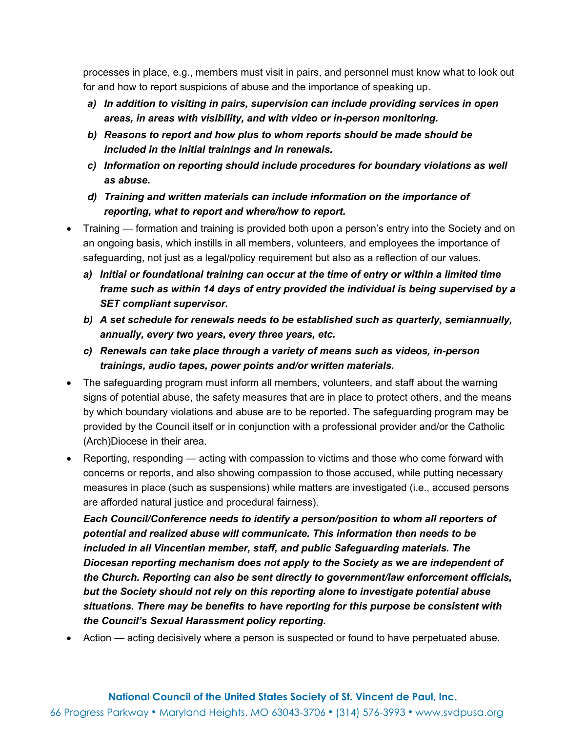processes in place, e.g., members must visit in pairs, and personnel must know what to look out for and how to report suspicions of abuse and the importance of speaking up.

- *a) In addition to visiting in pairs, supervision can include providing services in open areas, in areas with visibility, and with video or in-person monitoring.*
- *b) Reasons to report and how plus to whom reports should be made should be included in the initial trainings and in renewals.*
- *c) Information on reporting should include procedures for boundary violations as well as abuse.*
- *d) Training and written materials can include information on the importance of reporting, what to report and where/how to report.*
- Training formation and training is provided both upon a person's entry into the Society and on an ongoing basis, which instills in all members, volunteers, and employees the importance of safeguarding, not just as a legal/policy requirement but also as a reflection of our values.
	- *a) Initial or foundational training can occur at the time of entry or within a limited time frame such as within 14 days of entry provided the individual is being supervised by a SET compliant supervisor.*
	- *b) A set schedule for renewals needs to be established such as quarterly, semiannually, annually, every two years, every three years, etc.*
	- *c) Renewals can take place through a variety of means such as videos, in-person trainings, audio tapes, power points and/or written materials.*
- The safeguarding program must inform all members, volunteers, and staff about the warning signs of potential abuse, the safety measures that are in place to protect others, and the means by which boundary violations and abuse are to be reported. The safeguarding program may be provided by the Council itself or in conjunction with a professional provider and/or the Catholic (Arch)Diocese in their area.
- Reporting, responding acting with compassion to victims and those who come forward with concerns or reports, and also showing compassion to those accused, while putting necessary measures in place (such as suspensions) while matters are investigated (i.e., accused persons are afforded natural justice and procedural fairness).

*Each Council/Conference needs to identify a person/position to whom all reporters of potential and realized abuse will communicate. This information then needs to be included in all Vincentian member, staff, and public Safeguarding materials. The Diocesan reporting mechanism does not apply to the Society as we are independent of the Church. Reporting can also be sent directly to government/law enforcement officials, but the Society should not rely on this reporting alone to investigate potential abuse situations. There may be benefits to have reporting for this purpose be consistent with the Council's Sexual Harassment policy reporting.*

• Action — acting decisively where a person is suspected or found to have perpetuated abuse.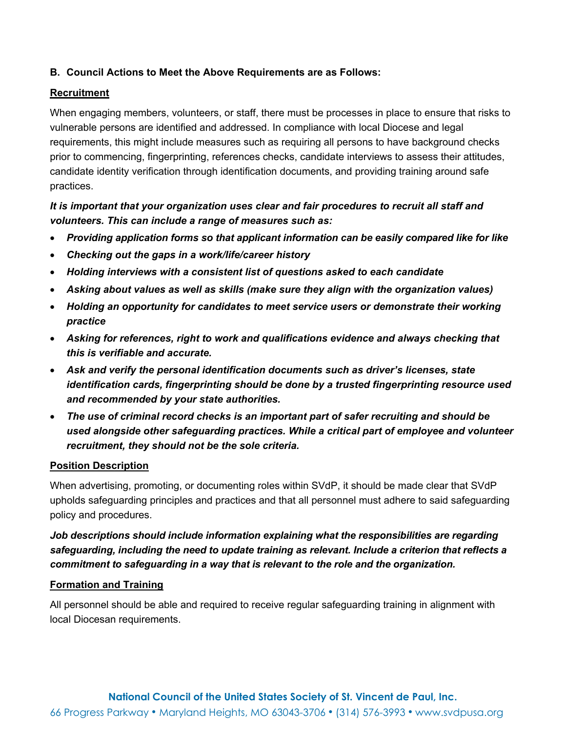## **B. Council Actions to Meet the Above Requirements are as Follows:**

#### **Recruitment**

When engaging members, volunteers, or staff, there must be processes in place to ensure that risks to vulnerable persons are identified and addressed. In compliance with local Diocese and legal requirements, this might include measures such as requiring all persons to have background checks prior to commencing, fingerprinting, references checks, candidate interviews to assess their attitudes, candidate identity verification through identification documents, and providing training around safe practices.

# *It is important that your organization uses clear and fair procedures to recruit all staff and volunteers. This can include a range of measures such as:*

- *Providing application forms so that applicant information can be easily compared like for like*
- *Checking out the gaps in a work/life/career history*
- *Holding interviews with a consistent list of questions asked to each candidate*
- *Asking about values as well as skills (make sure they align with the organization values)*
- *Holding an opportunity for candidates to meet service users or demonstrate their working practice*
- *Asking for references, right to work and qualifications evidence and always checking that this is verifiable and accurate.*
- *Ask and verify the personal identification documents such as driver's licenses, state identification cards, fingerprinting should be done by a trusted fingerprinting resource used and recommended by your state authorities.*
- *The use of criminal record checks is an important part of safer recruiting and should be used alongside other safeguarding practices. While a critical part of employee and volunteer recruitment, they should not be the sole criteria.*

#### **Position Description**

When advertising, promoting, or documenting roles within SVdP, it should be made clear that SVdP upholds safeguarding principles and practices and that all personnel must adhere to said safeguarding policy and procedures.

# *Job descriptions should include information explaining what the responsibilities are regarding safeguarding, including the need to update training as relevant. Include a criterion that reflects a commitment to safeguarding in a way that is relevant to the role and the organization.*

#### **Formation and Training**

All personnel should be able and required to receive regular safeguarding training in alignment with local Diocesan requirements.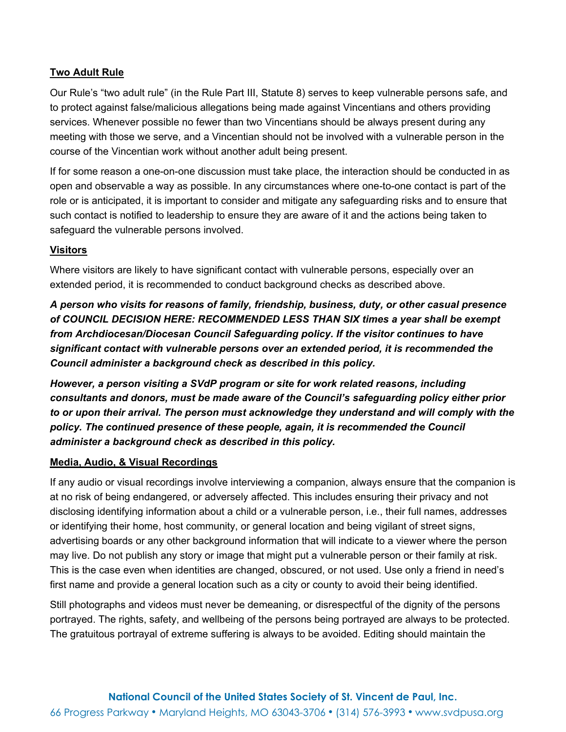## **Two Adult Rule**

Our Rule's "two adult rule" (in the Rule Part III, Statute 8) serves to keep vulnerable persons safe, and to protect against false/malicious allegations being made against Vincentians and others providing services. Whenever possible no fewer than two Vincentians should be always present during any meeting with those we serve, and a Vincentian should not be involved with a vulnerable person in the course of the Vincentian work without another adult being present.

If for some reason a one-on-one discussion must take place, the interaction should be conducted in as open and observable a way as possible. In any circumstances where one-to-one contact is part of the role or is anticipated, it is important to consider and mitigate any safeguarding risks and to ensure that such contact is notified to leadership to ensure they are aware of it and the actions being taken to safeguard the vulnerable persons involved.

## **Visitors**

Where visitors are likely to have significant contact with vulnerable persons, especially over an extended period, it is recommended to conduct background checks as described above.

*A person who visits for reasons of family, friendship, business, duty, or other casual presence of COUNCIL DECISION HERE: RECOMMENDED LESS THAN SIX times a year shall be exempt from Archdiocesan/Diocesan Council Safeguarding policy. If the visitor continues to have significant contact with vulnerable persons over an extended period, it is recommended the Council administer a background check as described in this policy.*

*However, a person visiting a SVdP program or site for work related reasons, including consultants and donors, must be made aware of the Council's safeguarding policy either prior to or upon their arrival. The person must acknowledge they understand and will comply with the policy. The continued presence of these people, again, it is recommended the Council administer a background check as described in this policy.*

#### **Media, Audio, & Visual Recordings**

If any audio or visual recordings involve interviewing a companion, always ensure that the companion is at no risk of being endangered, or adversely affected. This includes ensuring their privacy and not disclosing identifying information about a child or a vulnerable person, i.e., their full names, addresses or identifying their home, host community, or general location and being vigilant of street signs, advertising boards or any other background information that will indicate to a viewer where the person may live. Do not publish any story or image that might put a vulnerable person or their family at risk. This is the case even when identities are changed, obscured, or not used. Use only a friend in need's first name and provide a general location such as a city or county to avoid their being identified.

Still photographs and videos must never be demeaning, or disrespectful of the dignity of the persons portrayed. The rights, safety, and wellbeing of the persons being portrayed are always to be protected. The gratuitous portrayal of extreme suffering is always to be avoided. Editing should maintain the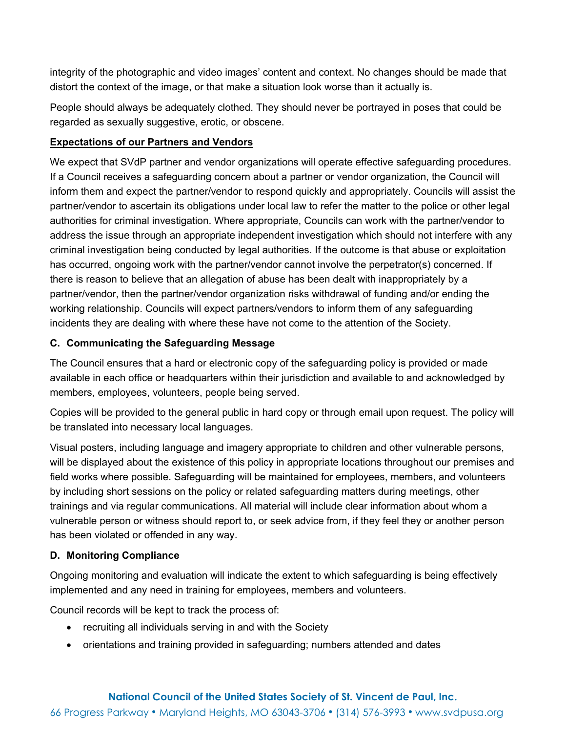integrity of the photographic and video images' content and context. No changes should be made that distort the context of the image, or that make a situation look worse than it actually is.

People should always be adequately clothed. They should never be portrayed in poses that could be regarded as sexually suggestive, erotic, or obscene.

# **Expectations of our Partners and Vendors**

We expect that SVdP partner and vendor organizations will operate effective safeguarding procedures. If a Council receives a safeguarding concern about a partner or vendor organization, the Council will inform them and expect the partner/vendor to respond quickly and appropriately. Councils will assist the partner/vendor to ascertain its obligations under local law to refer the matter to the police or other legal authorities for criminal investigation. Where appropriate, Councils can work with the partner/vendor to address the issue through an appropriate independent investigation which should not interfere with any criminal investigation being conducted by legal authorities. If the outcome is that abuse or exploitation has occurred, ongoing work with the partner/vendor cannot involve the perpetrator(s) concerned. If there is reason to believe that an allegation of abuse has been dealt with inappropriately by a partner/vendor, then the partner/vendor organization risks withdrawal of funding and/or ending the working relationship. Councils will expect partners/vendors to inform them of any safeguarding incidents they are dealing with where these have not come to the attention of the Society.

# **C. Communicating the Safeguarding Message**

The Council ensures that a hard or electronic copy of the safeguarding policy is provided or made available in each office or headquarters within their jurisdiction and available to and acknowledged by members, employees, volunteers, people being served.

Copies will be provided to the general public in hard copy or through email upon request. The policy will be translated into necessary local languages.

Visual posters, including language and imagery appropriate to children and other vulnerable persons, will be displayed about the existence of this policy in appropriate locations throughout our premises and field works where possible. Safeguarding will be maintained for employees, members, and volunteers by including short sessions on the policy or related safeguarding matters during meetings, other trainings and via regular communications. All material will include clear information about whom a vulnerable person or witness should report to, or seek advice from, if they feel they or another person has been violated or offended in any way.

## **D. Monitoring Compliance**

Ongoing monitoring and evaluation will indicate the extent to which safeguarding is being effectively implemented and any need in training for employees, members and volunteers.

Council records will be kept to track the process of:

- recruiting all individuals serving in and with the Society
- orientations and training provided in safeguarding; numbers attended and dates